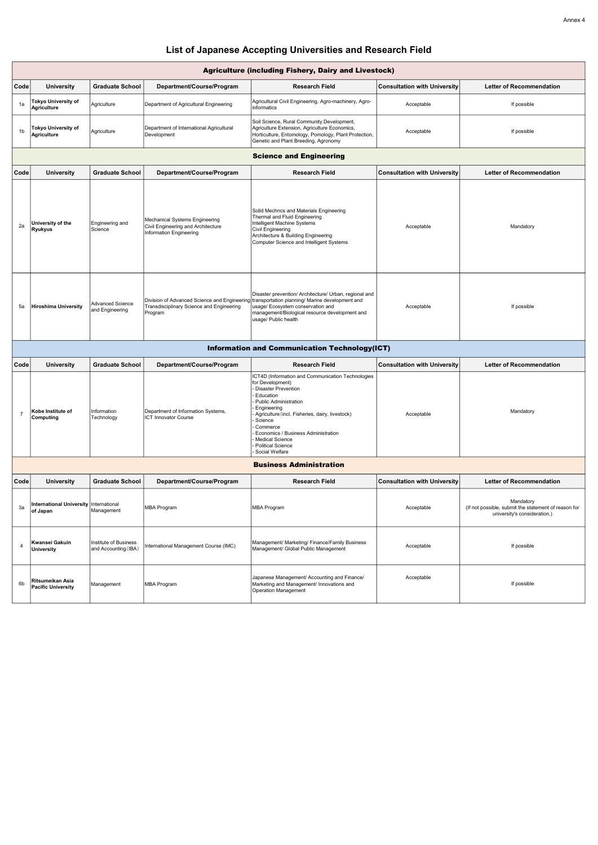| <b>Agriculture (including Fishery, Dairy and Livestock)</b> |                                                  |                                     |                                                                                                 |                                                                                                                                                                                                                                                                       |                                     |                                 |  |  |
|-------------------------------------------------------------|--------------------------------------------------|-------------------------------------|-------------------------------------------------------------------------------------------------|-----------------------------------------------------------------------------------------------------------------------------------------------------------------------------------------------------------------------------------------------------------------------|-------------------------------------|---------------------------------|--|--|
| Code                                                        | <b>University</b>                                | <b>Graduate School</b>              | Department/Course/Program                                                                       | <b>Research Field</b>                                                                                                                                                                                                                                                 | <b>Consultation with University</b> | <b>Letter of Recommendation</b> |  |  |
| 1a                                                          | <b>Tokyo University of</b><br>Agriculture        | Agriculture                         | Department of Agricultural Engineering                                                          | Agricultural Civil Engineering, Agro-machinery, Agro-<br>informatics                                                                                                                                                                                                  | Acceptable                          | If possible                     |  |  |
| 1b                                                          | <b>Tokyo University of</b><br><b>Agriculture</b> | Agriculture                         | Department of International Agricultural<br>Development                                         | Soil Science, Rural Community Development,<br>Agriculture Extension, Agriculture Economics,<br>Horticulture, Entomology, Pomology, Plant Protection,<br>Genetic and Plant Breeding, Agronomy                                                                          | Acceptable                          | If possible                     |  |  |
| <b>Science and Engineering</b>                              |                                                  |                                     |                                                                                                 |                                                                                                                                                                                                                                                                       |                                     |                                 |  |  |
| Code                                                        | <b>University</b>                                | <b>Graduate School</b>              | Department/Course/Program                                                                       | <b>Research Field</b>                                                                                                                                                                                                                                                 | <b>Consultation with University</b> | <b>Letter of Recommendation</b> |  |  |
| 2a                                                          | University of the<br><b>Ryukyus</b>              | Engineering and<br>Science          | Mechanical Systems Engineering<br>Civil Engineering and Architecture<br>Information Engineering | Solid Mechncs and Materials Engineering<br>Thermal and Fluid Engineering<br>Intelligent Machine Systems<br>Civil Engineering<br>Architecture & Building Engineering<br>Computer Science and Intelligent Systems                                                       | Acceptable                          | Mandatory                       |  |  |
| 5a                                                          | Hiroshima University                             | Advanced Science<br>and Engineering | Transdisciplinary Science and Engineering<br>Program                                            | Disaster prevention/ Architecture/ Urban, regional and<br>Division of Advanced Science and Engineering transportation planning/ Marine development and<br>usage/ Ecosystem conservation and<br>management/Biological resource development and<br>usage/ Public health | Acceptable                          | If possible                     |  |  |
| <b>Information and Communication Technology(ICT)</b>        |                                                  |                                     |                                                                                                 |                                                                                                                                                                                                                                                                       |                                     |                                 |  |  |

| Code | <b>University</b>              | <b>Graduate School</b>    | Department/Course/Program                                         | <b>Research Field</b>                                                                                                                                                                                                                                                                                                                                     | <b>Consultation with University</b> | <b>Letter of Recommendation</b> |
|------|--------------------------------|---------------------------|-------------------------------------------------------------------|-----------------------------------------------------------------------------------------------------------------------------------------------------------------------------------------------------------------------------------------------------------------------------------------------------------------------------------------------------------|-------------------------------------|---------------------------------|
|      | Kobe Institute of<br>Computing | Information<br>Technology | Department of Information Systems,<br><b>ICT Innovator Course</b> | <b>ICT4D (Information and Communication Technologies</b><br>for Development)<br>- Disaster Prevention<br>- Education<br>- Public Administration<br>- Engineering<br>- Agriculture (incl. Fisheries, dairy, livestock)<br>- Science<br>- Commerce<br>- Economics / Business Administration<br>- Medical Science<br>- Political Science<br>- Social Welfare | Acceptable                          | Mandatory                       |

| Codel          | <b>University</b>                                  | <b>Graduate School</b>                        | Department/Course/Program             | <b>Research Field</b>                                                                                             | <b>Consultation with University</b> | <b>Letter of Recommendation</b>                                                                   |
|----------------|----------------------------------------------------|-----------------------------------------------|---------------------------------------|-------------------------------------------------------------------------------------------------------------------|-------------------------------------|---------------------------------------------------------------------------------------------------|
| 3a             | International University International<br>of Japan | Management                                    | <b>MBA Program</b>                    | <b>MBA Program</b>                                                                                                | Acceptable                          | Mandatory<br>(If not possible, submit the statement of reason for<br>university's consideration.) |
|                | Kwansei Gakuin<br>University                       | Institute of Business<br>and Accounting (IBA) | International Management Course (IMC) | Management/ Marketing/ Finance/Family Business<br>Management/ Global Public Management                            | Acceptable                          | If possible                                                                                       |
| 6 <sub>b</sub> | Ritsumeikan Asia<br><b>Pacific University</b>      | Management                                    | MBA Program                           | Japanese Management/ Accounting and Finance/<br>Marketing and Management/ Innovations and<br>Operation Management | Acceptable                          | If possible                                                                                       |

## List of Japanese Accepting Universities and Research Field